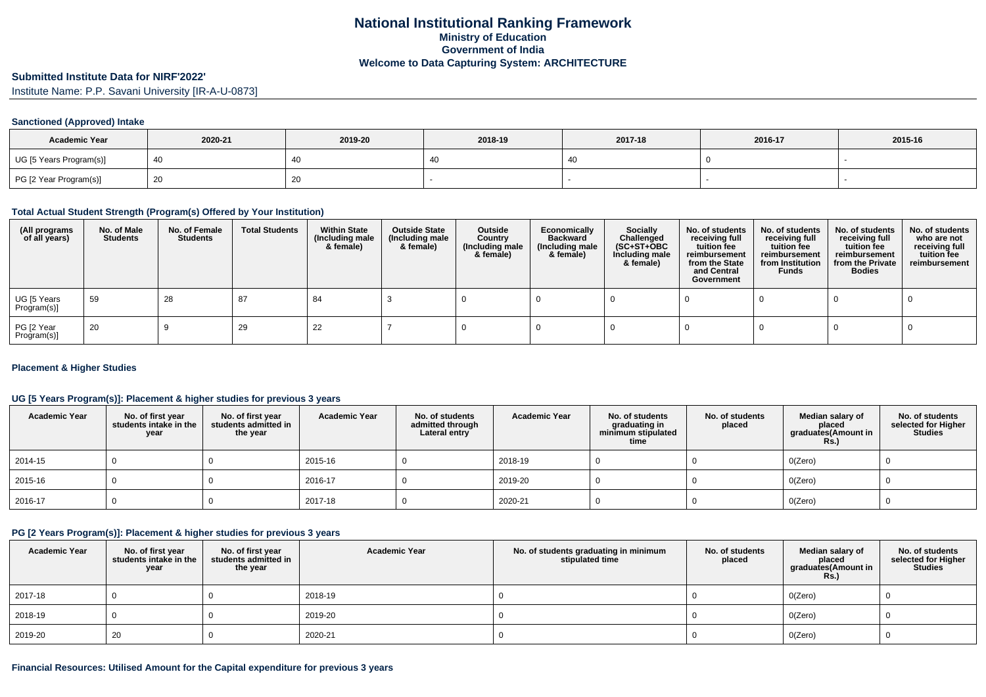## **Submitted Institute Data for NIRF'2022'**

Institute Name: P.P. Savani University [IR-A-U-0873]

#### **Sanctioned (Approved) Intake**

| <b>Academic Year</b>    | 2020-21 | 2019-20 | 2018-19 | 2017-18 | 2016-17 | 2015-16 |
|-------------------------|---------|---------|---------|---------|---------|---------|
| UG [5 Years Program(s)] |         | 40      |         |         |         |         |
| PG [2 Year Program(s)]  |         | 20      |         |         |         |         |

### **Total Actual Student Strength (Program(s) Offered by Your Institution)**

| (All programs<br>of all years) | No. of Male<br><b>Students</b> | No. of Female<br>Students | <b>Total Students</b> | <b>Within State</b><br>(Including male<br>& female) | <b>Outside State</b><br>(Including male<br>& female) | Outside<br>Country<br>(Including male<br>& female) | Economically<br><b>Backward</b><br>(Including male<br>& female) | <b>Socially</b><br>Challenged<br>$(SC+ST+OBC)$<br>Including male<br>& female) | No. of students<br>receiving full<br>tuition fee<br>reimbursement<br>from the State<br>and Central<br>Government | No. of students<br>receiving full<br>tuition fee<br>reimbursement<br>from Institution<br><b>Funds</b> | No. of students<br>receiving full<br>tuition fee<br>reimbursement<br>from the Private<br><b>Bodies</b> | No. of students<br>who are not<br>receiving full<br>tuition fee<br>reimbursement |
|--------------------------------|--------------------------------|---------------------------|-----------------------|-----------------------------------------------------|------------------------------------------------------|----------------------------------------------------|-----------------------------------------------------------------|-------------------------------------------------------------------------------|------------------------------------------------------------------------------------------------------------------|-------------------------------------------------------------------------------------------------------|--------------------------------------------------------------------------------------------------------|----------------------------------------------------------------------------------|
| UG [5 Years<br>Program(s)]     | - 59                           | 28                        | 87                    | 84                                                  |                                                      |                                                    |                                                                 |                                                                               |                                                                                                                  |                                                                                                       |                                                                                                        |                                                                                  |
| PG [2 Year<br>Program(s)]      | 20                             |                           | 29                    | 22                                                  |                                                      |                                                    |                                                                 |                                                                               |                                                                                                                  |                                                                                                       |                                                                                                        |                                                                                  |

#### **Placement & Higher Studies**

## **UG [5 Years Program(s)]: Placement & higher studies for previous 3 years**

| <b>Academic Year</b> | No. of first year<br>students intake in the<br>year | No. of first year<br>students admitted in<br>the year | <b>Academic Year</b> | No. of students<br>admitted through<br>Lateral entry | <b>Academic Year</b> | No. of students<br>graduating in<br>minimum stipulated<br>time | No. of students<br>placed | Median salary of<br>placed<br>graduates(Amount in<br><b>Rs.)</b> | No. of students<br>selected for Higher<br><b>Studies</b> |
|----------------------|-----------------------------------------------------|-------------------------------------------------------|----------------------|------------------------------------------------------|----------------------|----------------------------------------------------------------|---------------------------|------------------------------------------------------------------|----------------------------------------------------------|
| 2014-15              |                                                     |                                                       | 2015-16              |                                                      | 2018-19              |                                                                |                           | O(Zero)                                                          |                                                          |
| 2015-16              |                                                     |                                                       | 2016-17              |                                                      | 2019-20              |                                                                |                           | O(Zero)                                                          |                                                          |
| $ 2016-17$           |                                                     |                                                       | 2017-18              |                                                      | 2020-21              |                                                                |                           | O(Zero)                                                          |                                                          |

### **PG [2 Years Program(s)]: Placement & higher studies for previous 3 years**

| <b>Academic Year</b> | No. of first year<br>students intake in the<br>year | No. of first vear<br>students admitted in<br>the year | <b>Academic Year</b> | No. of students graduating in minimum<br>stipulated time | No. of students<br>placed | Median salary of<br>placed<br>graduates(Amount in<br><b>Rs.)</b> | No. of students<br>selected for Higher<br><b>Studies</b> |
|----------------------|-----------------------------------------------------|-------------------------------------------------------|----------------------|----------------------------------------------------------|---------------------------|------------------------------------------------------------------|----------------------------------------------------------|
| 2017-18              |                                                     |                                                       | 2018-19              |                                                          |                           | O(Zero)                                                          |                                                          |
| 2018-19              |                                                     |                                                       | 2019-20              |                                                          |                           | O(Zero)                                                          |                                                          |
| 2019-20              | 20                                                  |                                                       | 2020-21              |                                                          |                           | O(Zero)                                                          |                                                          |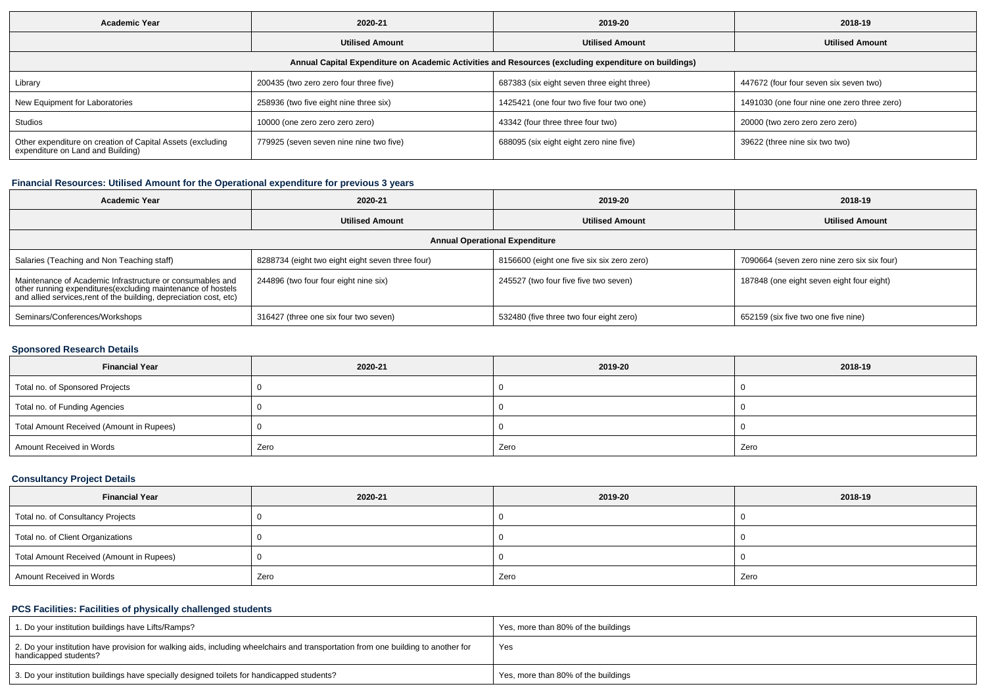| <b>Academic Year</b>                                                                                 | 2020-21                                 | 2019-20                                    | 2018-19                                     |  |  |  |  |  |  |
|------------------------------------------------------------------------------------------------------|-----------------------------------------|--------------------------------------------|---------------------------------------------|--|--|--|--|--|--|
|                                                                                                      | <b>Utilised Amount</b>                  | <b>Utilised Amount</b>                     | <b>Utilised Amount</b>                      |  |  |  |  |  |  |
| Annual Capital Expenditure on Academic Activities and Resources (excluding expenditure on buildings) |                                         |                                            |                                             |  |  |  |  |  |  |
| Library                                                                                              | 200435 (two zero zero four three five)  | 687383 (six eight seven three eight three) | 447672 (four four seven six seven two)      |  |  |  |  |  |  |
| New Equipment for Laboratories                                                                       | 258936 (two five eight nine three six)  | 1425421 (one four two five four two one)   | 1491030 (one four nine one zero three zero) |  |  |  |  |  |  |
| Studios                                                                                              | 10000 (one zero zero zero zero)         | 43342 (four three three four two)          | 20000 (two zero zero zero zero)             |  |  |  |  |  |  |
| Other expenditure on creation of Capital Assets (excluding<br>expenditure on Land and Building)      | 779925 (seven seven nine nine two five) | 688095 (six eight eight zero nine five)    | 39622 (three nine six two two)              |  |  |  |  |  |  |

# **Financial Resources: Utilised Amount for the Operational expenditure for previous 3 years**

| <b>Academic Year</b>                                                                                                                                                                           | 2020-21                                          |                                            | 2018-19                                     |  |  |  |  |  |
|------------------------------------------------------------------------------------------------------------------------------------------------------------------------------------------------|--------------------------------------------------|--------------------------------------------|---------------------------------------------|--|--|--|--|--|
|                                                                                                                                                                                                | <b>Utilised Amount</b>                           |                                            | <b>Utilised Amount</b>                      |  |  |  |  |  |
| <b>Annual Operational Expenditure</b>                                                                                                                                                          |                                                  |                                            |                                             |  |  |  |  |  |
| Salaries (Teaching and Non Teaching staff)                                                                                                                                                     | 8288734 (eight two eight eight seven three four) | 8156600 (eight one five six six zero zero) | 7090664 (seven zero nine zero six six four) |  |  |  |  |  |
| Maintenance of Academic Infrastructure or consumables and<br>other running expenditures(excluding maintenance of hostels<br>and allied services, rent of the building, depreciation cost, etc) | 244896 (two four four eight nine six)            | 245527 (two four five five two seven)      | 187848 (one eight seven eight four eight)   |  |  |  |  |  |
| Seminars/Conferences/Workshops                                                                                                                                                                 | 316427 (three one six four two seven)            | 532480 (five three two four eight zero)    | 652159 (six five two one five nine)         |  |  |  |  |  |

## **Sponsored Research Details**

| <b>Financial Year</b>                    | 2020-21 | 2019-20 | 2018-19 |
|------------------------------------------|---------|---------|---------|
| Total no. of Sponsored Projects          |         |         |         |
| Total no. of Funding Agencies            |         |         |         |
| Total Amount Received (Amount in Rupees) |         |         |         |
| Amount Received in Words                 | Zero    | Zero    | Zero    |

# **Consultancy Project Details**

| <b>Financial Year</b>                    | 2020-21 | 2019-20 | 2018-19 |  |
|------------------------------------------|---------|---------|---------|--|
| Total no. of Consultancy Projects        |         |         |         |  |
| Total no. of Client Organizations        |         |         |         |  |
| Total Amount Received (Amount in Rupees) |         |         |         |  |
| Amount Received in Words                 | Zero    | Zero    | Zero    |  |

### **PCS Facilities: Facilities of physically challenged students**

| 1. Do your institution buildings have Lifts/Ramps?                                                                                                         | Yes, more than 80% of the buildings |
|------------------------------------------------------------------------------------------------------------------------------------------------------------|-------------------------------------|
| 2. Do your institution have provision for walking aids, including wheelchairs and transportation from one building to another for<br>handicapped students? | Yes                                 |
| 3. Do your institution buildings have specially designed toilets for handicapped students?                                                                 | Yes, more than 80% of the buildings |